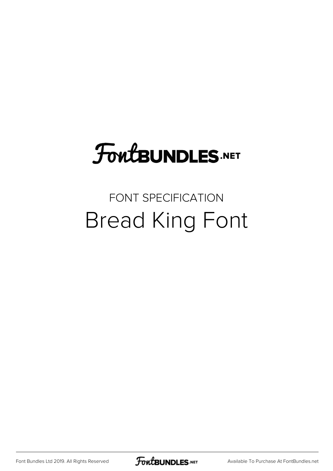# **FoutBUNDLES.NET**

### FONT SPECIFICATION Bread King Font

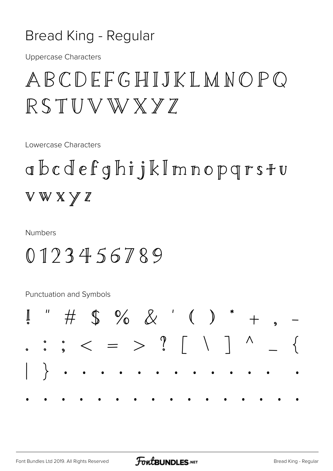#### **Bread King - Regular**

**Uppercase Characters** 

## ABCDEFGHIJKLMNOPO RSTUVWXYZ

Lowercase Characters

a b c d e f g h i j k I m n o p q r s + v VWXYZ

**Numbers** 

### $0123456789$

Punctuation and Symbols

|  |  |  |  |  |  |  | $1$ " # \$ % & ' ( ) * + , - |
|--|--|--|--|--|--|--|------------------------------|
|  |  |  |  |  |  |  |                              |
|  |  |  |  |  |  |  | $ \hspace{.1cm} \rangle$     |
|  |  |  |  |  |  |  |                              |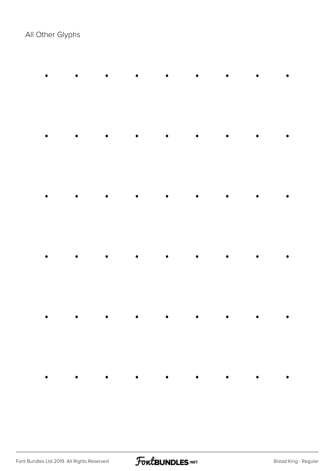All Other Glyphs



À Á Â Ã Ä Å Æ Ç È

É Ê Ë Ì Í Î Ï Ð Ñ

Ò Ó Ô Õ Ö × Ø Ù Ú

Û Ü Ý Þ ß à á â ã

ä å æ ç è é ê ë ì

í î ï ð ñ ò ó ô õ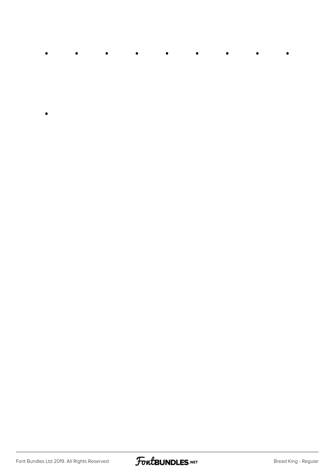| Font Bundles Ltd 2019. All Rights Reserved |
|--------------------------------------------|
|--------------------------------------------|



 $\bullet$ 

 $\bullet$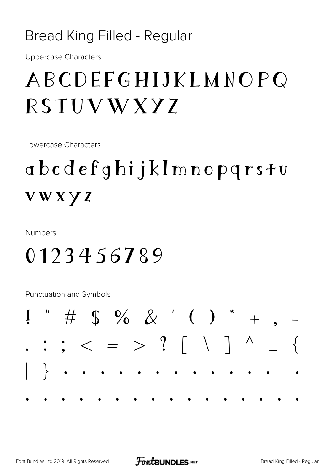#### **Bread King Filled - Regular**

**Uppercase Characters** 

## ABCDEFGHIJKLMNOPQ RSTUVWXYZ

Lowercase Characters

## abcdefghijkImnopqrstu **VWXYZ**

**Numbers** 

## 0123456789

**Punctuation and Symbols** 

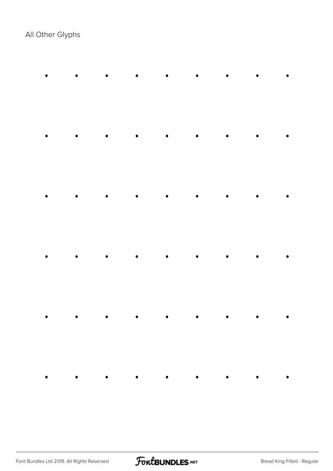All Other Glyphs



À Á Â Ã Ä Å Æ Ç È

É Ê Ë Ì Í Î Ï Ð Ñ

Ò Ó Ô Õ Ö × Ø Ù Ú

Û Ü Ý Þ ß à á â ã

ä å æ ç è é ê ë ì

í î ï ð ñ ò ó ô õ